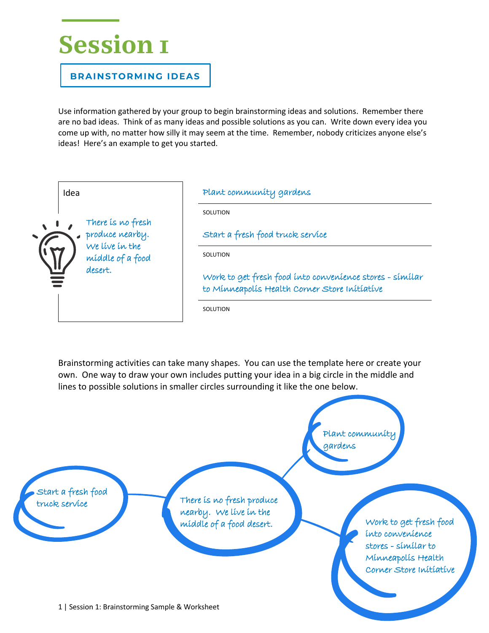## **Session 1**

**BRAINSTORMING IDEAS**

Use information gathered by your group to begin brainstorming ideas and solutions. Remember there are no bad ideas. Think of as many ideas and possible solutions as you can. Write down every idea you come up with, no matter how silly it may seem at the time. Remember, nobody criticizes anyone else's ideas! Here's an example to get you started.

| Idea                                                                                  | Plant community gardens                                                                                   |
|---------------------------------------------------------------------------------------|-----------------------------------------------------------------------------------------------------------|
| There is no fresh<br>produce nearby.<br>We live in the<br>middle of a food<br>desert. | SOLUTION                                                                                                  |
|                                                                                       | Start a fresh food truck service                                                                          |
|                                                                                       | SOLUTION                                                                                                  |
|                                                                                       | Work to get fresh food into convenience stores - similar<br>to Minneapolis Health Corner Store Initiative |
|                                                                                       | SOLUTION                                                                                                  |

Brainstorming activities can take many shapes. You can use the template here or create your own. One way to draw your own includes putting your idea in a big circle in the middle and lines to possible solutions in smaller circles surrounding it like the one below.